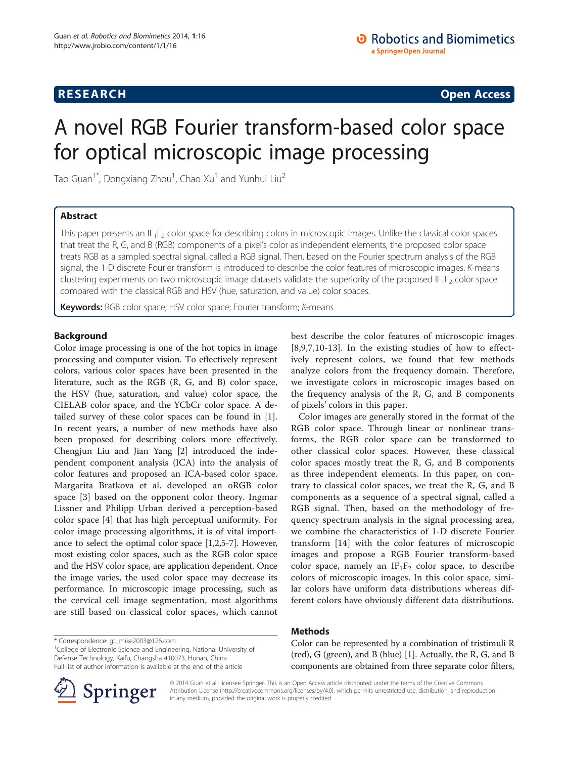## **RESEARCH RESEARCH CONSUMING ACCESS**

# A novel RGB Fourier transform-based color space for optical microscopic image processing

Tao Guan $^{\dagger^*}$ , Dongxiang Zhou $^{\dagger}$ , Chao Xu $^{\dagger}$  and Yunhui Liu $^2$ 

## Abstract

This paper presents an  $IF_1F_2$  color space for describing colors in microscopic images. Unlike the classical color spaces that treat the R, G, and B (RGB) components of a pixel's color as independent elements, the proposed color space treats RGB as a sampled spectral signal, called a RGB signal. Then, based on the Fourier spectrum analysis of the RGB signal, the 1-D discrete Fourier transform is introduced to describe the color features of microscopic images. K-means clustering experiments on two microscopic image datasets validate the superiority of the proposed IF<sub>1</sub>F<sub>2</sub> color space compared with the classical RGB and HSV (hue, saturation, and value) color spaces.

Keywords: RGB color space; HSV color space; Fourier transform; K-means

## Background

Color image processing is one of the hot topics in image processing and computer vision. To effectively represent colors, various color spaces have been presented in the literature, such as the RGB (R, G, and B) color space, the HSV (hue, saturation, and value) color space, the CIELAB color space, and the YCbCr color space. A detailed survey of these color spaces can be found in [\[1](#page-5-0)]. In recent years, a number of new methods have also been proposed for describing colors more effectively. Chengjun Liu and Jian Yang [[2\]](#page-5-0) introduced the independent component analysis (ICA) into the analysis of color features and proposed an ICA-based color space. Margarita Bratkova et al. developed an oRGB color space [[3\]](#page-5-0) based on the opponent color theory. Ingmar Lissner and Philipp Urban derived a perception-based color space [\[4](#page-5-0)] that has high perceptual uniformity. For color image processing algorithms, it is of vital importance to select the optimal color space [[1,2](#page-5-0),[5-7\]](#page-5-0). However, most existing color spaces, such as the RGB color space and the HSV color space, are application dependent. Once the image varies, the used color space may decrease its performance. In microscopic image processing, such as the cervical cell image segmentation, most algorithms are still based on classical color spaces, which cannot

\* Correspondence: [gt\\_mike2003@126.com](mailto:gt_mike2003@126.com) <sup>1</sup>

<sup>1</sup>College of Electronic Science and Engineering, National University of Defense Technology, Kaifu, Changsha 410073, Hunan, China Full list of author information is available at the end of the article

Springer

best describe the color features of microscopic images [[8,9,7](#page-5-0),[10-13](#page-5-0)]. In the existing studies of how to effectively represent colors, we found that few methods analyze colors from the frequency domain. Therefore, we investigate colors in microscopic images based on the frequency analysis of the R, G, and B components of pixels' colors in this paper.

Color images are generally stored in the format of the RGB color space. Through linear or nonlinear transforms, the RGB color space can be transformed to other classical color spaces. However, these classical color spaces mostly treat the R, G, and B components as three independent elements. In this paper, on contrary to classical color spaces, we treat the R, G, and B components as a sequence of a spectral signal, called a RGB signal. Then, based on the methodology of frequency spectrum analysis in the signal processing area, we combine the characteristics of 1-D discrete Fourier transform [[14\]](#page-5-0) with the color features of microscopic images and propose a RGB Fourier transform-based color space, namely an  $IF_1F_2$  color space, to describe colors of microscopic images. In this color space, similar colors have uniform data distributions whereas different colors have obviously different data distributions.

## Methods

Color can be represented by a combination of tristimuli R (red), G (green), and B (blue) [[1](#page-5-0)]. Actually, the R, G, and B components are obtained from three separate color filters,

© 2014 Guan et al.; licensee Springer. This is an Open Access article distributed under the terms of the Creative Commons Attribution License [\(http://creativecommons.org/licenses/by/4.0\)](http://creativecommons.org/licenses/by/4.0), which permits unrestricted use, distribution, and reproduction in any medium, provided the original work is properly credited.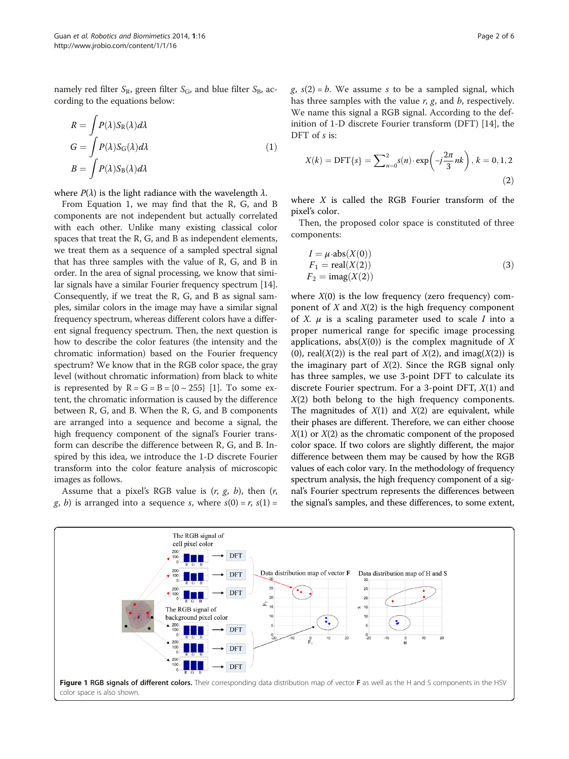<span id="page-1-0"></span>namely red filter  $S_R$ , green filter  $S_G$ , and blue filter  $S_B$ , according to the equations below:

$$
R = \int P(\lambda) S_{R}(\lambda) d\lambda
$$
  
\n
$$
G = \int P(\lambda) S_{G}(\lambda) d\lambda
$$
  
\n
$$
B = \int P(\lambda) S_{B}(\lambda) d\lambda
$$
\n(1)

where  $P(\lambda)$  is the light radiance with the wavelength  $\lambda$ .

From Equation 1, we may find that the R, G, and B components are not independent but actually correlated with each other. Unlike many existing classical color spaces that treat the R, G, and B as independent elements, we treat them as a sequence of a sampled spectral signal that has three samples with the value of R, G, and B in order. In the area of signal processing, we know that similar signals have a similar Fourier frequency spectrum [[14](#page-5-0)]. Consequently, if we treat the R, G, and B as signal samples, similar colors in the image may have a similar signal frequency spectrum, whereas different colors have a different signal frequency spectrum. Then, the next question is how to describe the color features (the intensity and the chromatic information) based on the Fourier frequency spectrum? We know that in the RGB color space, the gray level (without chromatic information) from black to white is represented by  $R = G = B = \{0 \sim 255\}$  [\[1](#page-5-0)]. To some extent, the chromatic information is caused by the difference between R, G, and B. When the R, G, and B components are arranged into a sequence and become a signal, the high frequency component of the signal's Fourier transform can describe the difference between R, G, and B. Inspired by this idea, we introduce the 1-D discrete Fourier transform into the color feature analysis of microscopic images as follows.

Assume that a pixel's RGB value is  $(r, g, b)$ , then  $(r, g, b)$ g, b) is arranged into a sequence s, where  $s(0) = r$ ,  $s(1) =$ 

 $g$ ,  $s(2) = b$ . We assume s to be a sampled signal, which has three samples with the value  $r$ ,  $g$ , and  $b$ , respectively. We name this signal a RGB signal. According to the definition of 1-D discrete Fourier transform (DFT) [\[14](#page-5-0)], the DFT of s is:

$$
X(k) = \text{DFT}\{s\} = \sum_{n=0}^{2} s(n) \cdot \exp\left(-j\frac{2\pi}{3}nk\right), k = 0, 1, 2
$$
\n(2)

where  $X$  is called the RGB Fourier transform of the pixel's color.

Then, the proposed color space is constituted of three components:

$$
I = \mu \cdot abs(X(0))
$$
  
\n
$$
F_1 = real(X(2))
$$
  
\n
$$
F_2 = imag(X(2))
$$
\n(3)

where  $X(0)$  is the low frequency (zero frequency) component of  $X$  and  $X(2)$  is the high frequency component of X.  $\mu$  is a scaling parameter used to scale I into a proper numerical range for specific image processing applications, abs $(X(0))$  is the complex magnitude of X (0), real( $X(2)$ ) is the real part of  $X(2)$ , and imag( $X(2)$ ) is the imaginary part of  $X(2)$ . Since the RGB signal only has three samples, we use 3-point DFT to calculate its discrete Fourier spectrum. For a 3-point DFT,  $X(1)$  and  $X(2)$  both belong to the high frequency components. The magnitudes of  $X(1)$  and  $X(2)$  are equivalent, while their phases are different. Therefore, we can either choose  $X(1)$  or  $X(2)$  as the chromatic component of the proposed color space. If two colors are slightly different, the major difference between them may be caused by how the RGB values of each color vary. In the methodology of frequency spectrum analysis, the high frequency component of a signal's Fourier spectrum represents the differences between the signal's samples, and these differences, to some extent,

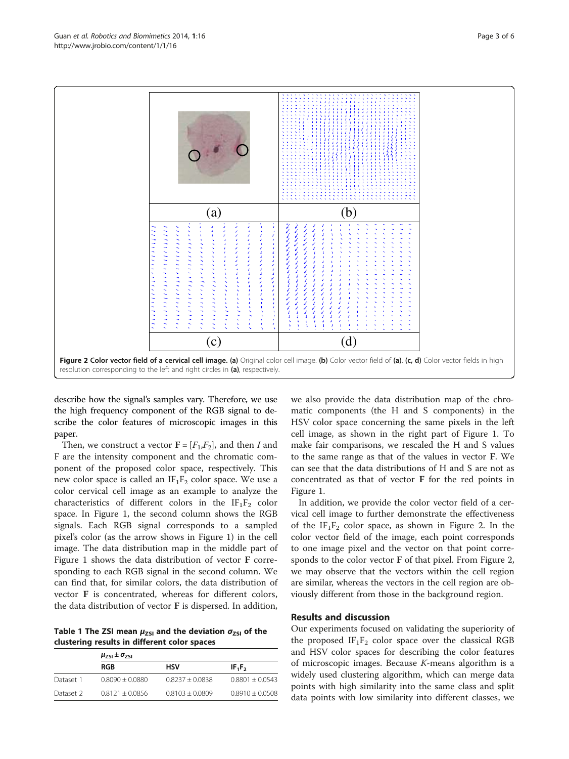<span id="page-2-0"></span>

describe how the signal's samples vary. Therefore, we use the high frequency component of the RGB signal to describe the color features of microscopic images in this paper.

Then, we construct a vector  $\mathbf{F} = [F_1, F_2]$ , and then I and F are the intensity component and the chromatic component of the proposed color space, respectively. This new color space is called an  $IF_1F_2$  color space. We use a color cervical cell image as an example to analyze the characteristics of different colors in the  $IF_1F_2$  color space. In Figure [1](#page-1-0), the second column shows the RGB signals. Each RGB signal corresponds to a sampled pixel's color (as the arrow shows in Figure [1\)](#page-1-0) in the cell image. The data distribution map in the middle part of Figure [1](#page-1-0) shows the data distribution of vector F corresponding to each RGB signal in the second column. We can find that, for similar colors, the data distribution of vector F is concentrated, whereas for different colors, the data distribution of vector F is dispersed. In addition,

Table 1 The ZSI mean  $\mu_{ZSI}$  and the deviation  $\sigma_{ZSI}$  of the clustering results in different color spaces

|           | $\mu_{ZSI} \pm \sigma_{ZSI}$ |                   |                   |
|-----------|------------------------------|-------------------|-------------------|
|           | <b>RGB</b>                   | HSV               | $IF_1F_2$         |
| Dataset 1 | $0.8090 + 0.0880$            | $0.8237 + 0.0838$ | $0.8801 + 0.0543$ |
| Dataset 2 | $0.8121 + 0.0856$            | $0.8103 + 0.0809$ | $0.8910 + 0.0508$ |

we also provide the data distribution map of the chromatic components (the H and S components) in the HSV color space concerning the same pixels in the left cell image, as shown in the right part of Figure [1](#page-1-0). To make fair comparisons, we rescaled the H and S values to the same range as that of the values in vector F. We can see that the data distributions of H and S are not as concentrated as that of vector F for the red points in Figure [1](#page-1-0).

In addition, we provide the color vector field of a cervical cell image to further demonstrate the effectiveness of the  $IF_1F_2$  color space, as shown in Figure 2. In the color vector field of the image, each point corresponds to one image pixel and the vector on that point corresponds to the color vector F of that pixel. From Figure 2, we may observe that the vectors within the cell region are similar, whereas the vectors in the cell region are obviously different from those in the background region.

## Results and discussion

Our experiments focused on validating the superiority of the proposed  $IF_1F_2$  color space over the classical RGB and HSV color spaces for describing the color features of microscopic images. Because K-means algorithm is a widely used clustering algorithm, which can merge data points with high similarity into the same class and split data points with low similarity into different classes, we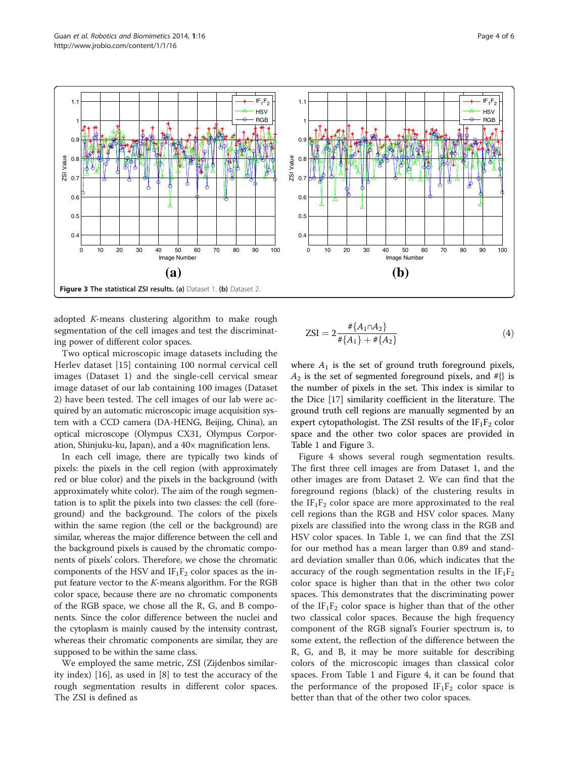

adopted K-means clustering algorithm to make rough segmentation of the cell images and test the discriminating power of different color spaces.

Two optical microscopic image datasets including the Herlev dataset [\[15](#page-5-0)] containing 100 normal cervical cell images (Dataset 1) and the single-cell cervical smear image dataset of our lab containing 100 images (Dataset 2) have been tested. The cell images of our lab were acquired by an automatic microscopic image acquisition system with a CCD camera (DA-HENG, Beijing, China), an optical microscope (Olympus CX31, Olympus Corporation, Shinjuku-ku, Japan), and a 40× magnification lens.

In each cell image, there are typically two kinds of pixels: the pixels in the cell region (with approximately red or blue color) and the pixels in the background (with approximately white color). The aim of the rough segmentation is to split the pixels into two classes: the cell (foreground) and the background. The colors of the pixels within the same region (the cell or the background) are similar, whereas the major difference between the cell and the background pixels is caused by the chromatic components of pixels' colors. Therefore, we chose the chromatic components of the HSV and  $IF_1F_2$  color spaces as the input feature vector to the K-means algorithm. For the RGB color space, because there are no chromatic components of the RGB space, we chose all the R, G, and B components. Since the color difference between the nuclei and the cytoplasm is mainly caused by the intensity contrast, whereas their chromatic components are similar, they are supposed to be within the same class.

We employed the same metric, ZSI (Zijdenbos similarity index) [[16](#page-5-0)], as used in [[8\]](#page-5-0) to test the accuracy of the rough segmentation results in different color spaces. The ZSI is defined as

$$
ZSI = 2 \frac{\# \{A_1 \cap A_2\}}{\# \{A_1\} + \# \{A_2\}}
$$
(4)

where  $A_1$  is the set of ground truth foreground pixels,  $A_2$  is the set of segmented foreground pixels, and #{} is the number of pixels in the set. This index is similar to the Dice [[17\]](#page-5-0) similarity coefficient in the literature. The ground truth cell regions are manually segmented by an expert cytopathologist. The ZSI results of the  $IF_1F_2$  color space and the other two color spaces are provided in Table [1](#page-2-0) and Figure 3.

Figure [4](#page-4-0) shows several rough segmentation results. The first three cell images are from Dataset 1, and the other images are from Dataset 2. We can find that the foreground regions (black) of the clustering results in the  $IF_1F_2$  color space are more approximated to the real cell regions than the RGB and HSV color spaces. Many pixels are classified into the wrong class in the RGB and HSV color spaces. In Table [1,](#page-2-0) we can find that the ZSI for our method has a mean larger than 0.89 and standard deviation smaller than 0.06, which indicates that the accuracy of the rough segmentation results in the  $IF_1F_2$ color space is higher than that in the other two color spaces. This demonstrates that the discriminating power of the  $IF_1F_2$  color space is higher than that of the other two classical color spaces. Because the high frequency component of the RGB signal's Fourier spectrum is, to some extent, the reflection of the difference between the R, G, and B, it may be more suitable for describing colors of the microscopic images than classical color spaces. From Table [1](#page-2-0) and Figure [4](#page-4-0), it can be found that the performance of the proposed  $IF_1F_2$  color space is better than that of the other two color spaces.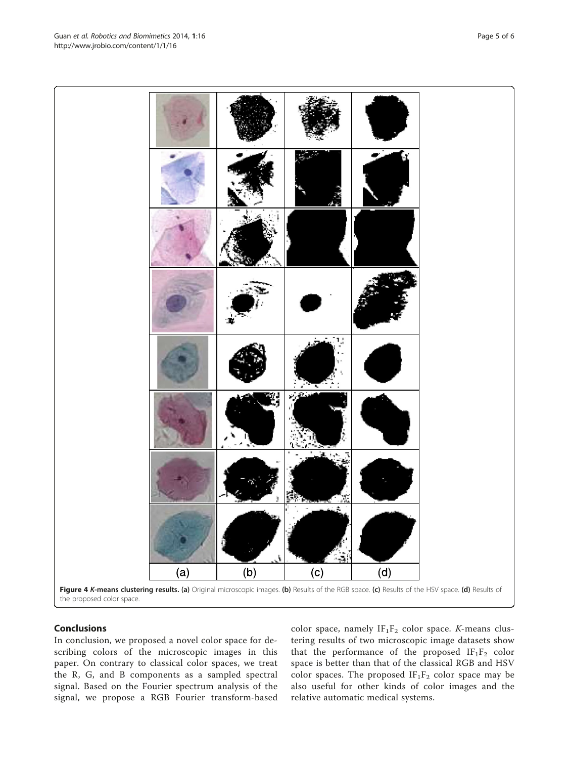In conclusion, we proposed a novel color space for describing colors of the microscopic images in this paper. On contrary to classical color spaces, we treat the R, G, and B components as a sampled spectral signal. Based on the Fourier spectrum analysis of the signal, we propose a RGB Fourier transform-based color space, namely  $IF_1F_2$  color space. *K*-means clustering results of two microscopic image datasets show that the performance of the proposed  $IF_1F_2$  color space is better than that of the classical RGB and HSV color spaces. The proposed  $IF_1F_2$  color space may be also useful for other kinds of color images and the relative automatic medical systems.

<span id="page-4-0"></span>